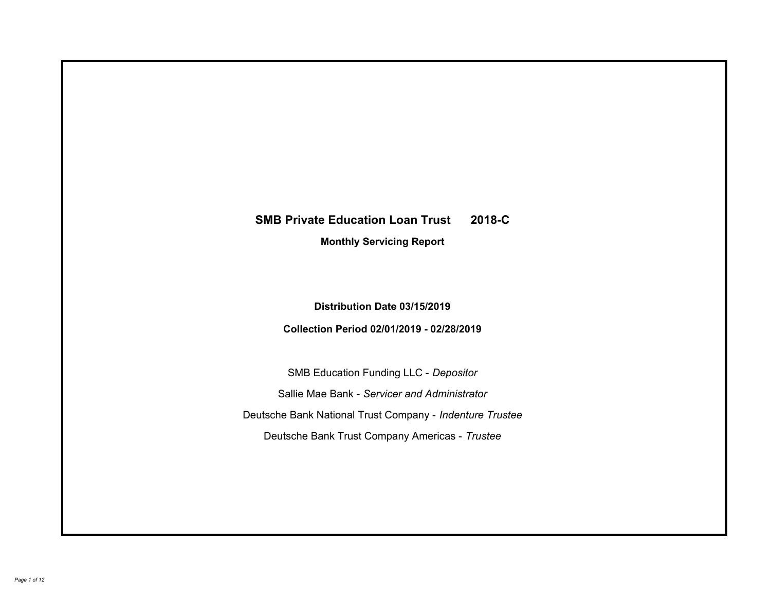# **SMB Private Education Loan Trust 2018-C Monthly Servicing Report**

## **Distribution Date 03/15/2019**

## **Collection Period 02/01/2019 - 02/28/2019**

SMB Education Funding LLC - *Depositor* Sallie Mae Bank - *Servicer and Administrator* Deutsche Bank National Trust Company - *Indenture Trustee* Deutsche Bank Trust Company Americas - *Trustee*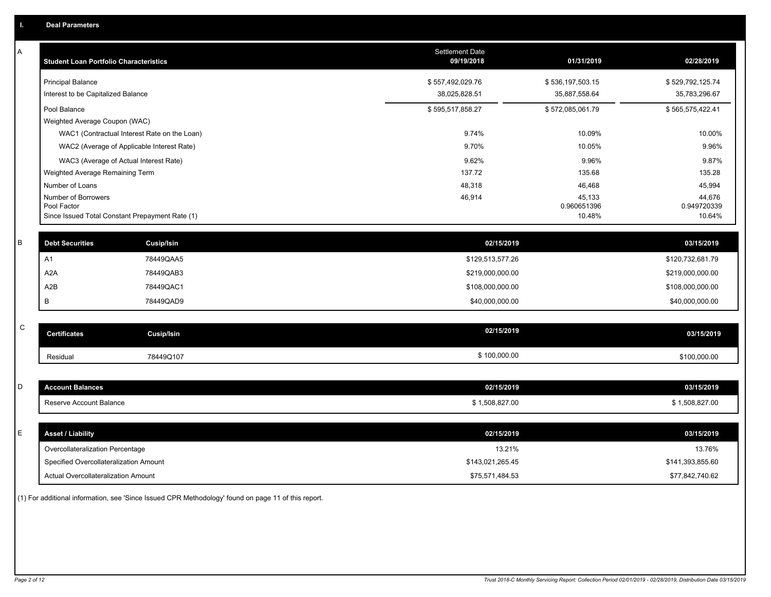| Α | <b>Student Loan Portfolio Characteristics</b>                  |                   | Settlement Date<br>09/19/2018 | 01/31/2019            | 02/28/2019            |
|---|----------------------------------------------------------------|-------------------|-------------------------------|-----------------------|-----------------------|
|   | <b>Principal Balance</b>                                       |                   | \$557,492,029.76              | \$536,197,503.15      | \$529,792,125.74      |
|   | Interest to be Capitalized Balance                             |                   | 38,025,828.51                 | 35,887,558.64         | 35,783,296.67         |
|   | Pool Balance                                                   |                   | \$595,517,858.27              | \$572,085,061.79      | \$565,575,422.41      |
|   | Weighted Average Coupon (WAC)                                  |                   |                               |                       |                       |
|   | WAC1 (Contractual Interest Rate on the Loan)                   |                   | 9.74%                         | 10.09%                | 10.00%                |
|   | WAC2 (Average of Applicable Interest Rate)                     |                   | 9.70%                         | 10.05%                | 9.96%                 |
|   | WAC3 (Average of Actual Interest Rate)                         |                   | 9.62%                         | 9.96%                 | 9.87%                 |
|   | Weighted Average Remaining Term                                |                   | 137.72                        | 135.68                | 135.28                |
|   | Number of Loans                                                |                   | 48,318                        | 46,468                | 45,994                |
|   | Number of Borrowers                                            |                   | 46,914                        | 45,133                | 44,676                |
|   | Pool Factor<br>Since Issued Total Constant Prepayment Rate (1) |                   |                               | 0.960651396<br>10.48% | 0.949720339<br>10.64% |
|   |                                                                |                   |                               |                       |                       |
| B | <b>Debt Securities</b>                                         | <b>Cusip/Isin</b> | 02/15/2019                    |                       | 03/15/2019            |
|   | A <sub>1</sub>                                                 | 78449QAA5         | \$129,513,577.26              |                       | \$120,732,681.79      |
|   | A <sub>2</sub> A                                               | 78449QAB3         | \$219,000,000.00              |                       | \$219,000,000.00      |
|   | A2B                                                            | 78449QAC1         | \$108,000,000.00              |                       | \$108,000,000.00      |
|   | В                                                              | 78449QAD9         | \$40,000,000.00               |                       | \$40,000,000.00       |
|   |                                                                |                   |                               |                       |                       |
| C | <b>Certificates</b>                                            | <b>Cusip/Isin</b> | 02/15/2019                    |                       | 03/15/2019            |
|   | Residual                                                       | 78449Q107         | \$100,000.00                  |                       | \$100,000.00          |
|   |                                                                |                   |                               |                       |                       |
| D | <b>Account Balances</b>                                        |                   | 02/15/2019                    |                       | 03/15/2019            |
|   | Reserve Account Balance                                        |                   | \$1,508,827.00                |                       | \$1,508,827.00        |
|   |                                                                |                   |                               |                       |                       |
| Е | <b>Asset / Liability</b>                                       |                   | 02/15/2019                    |                       | 03/15/2019            |
|   | Overcollateralization Percentage                               |                   | 13.21%                        |                       | 13.76%                |
|   | Specified Overcollateralization Amount                         |                   | \$143,021,265.45              |                       | \$141,393,855.60      |
|   | Actual Overcollateralization Amount                            |                   | \$75,571,484.53               |                       | \$77,842,740.62       |

(1) For additional information, see 'Since Issued CPR Methodology' found on page 11 of this report.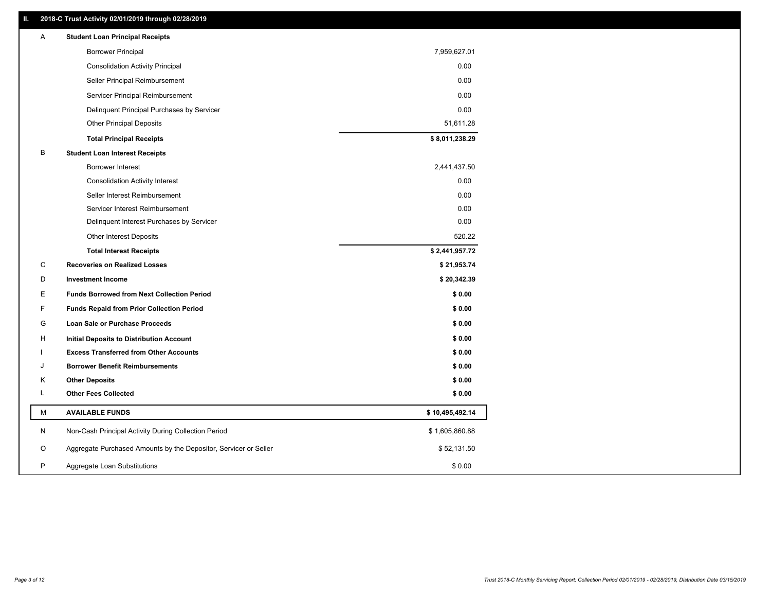### **II. 2018-C Trust Activity 02/01/2019 through 02/28/2019**

| A | <b>Student Loan Principal Receipts</b>                           |                 |
|---|------------------------------------------------------------------|-----------------|
|   | <b>Borrower Principal</b>                                        | 7,959,627.01    |
|   | <b>Consolidation Activity Principal</b>                          | 0.00            |
|   | Seller Principal Reimbursement                                   | 0.00            |
|   | Servicer Principal Reimbursement                                 | 0.00            |
|   | Delinquent Principal Purchases by Servicer                       | 0.00            |
|   | <b>Other Principal Deposits</b>                                  | 51,611.28       |
|   | <b>Total Principal Receipts</b>                                  | \$8,011,238.29  |
| В | <b>Student Loan Interest Receipts</b>                            |                 |
|   | <b>Borrower Interest</b>                                         | 2,441,437.50    |
|   | <b>Consolidation Activity Interest</b>                           | 0.00            |
|   | Seller Interest Reimbursement                                    | 0.00            |
|   | Servicer Interest Reimbursement                                  | 0.00            |
|   | Delinquent Interest Purchases by Servicer                        | 0.00            |
|   | Other Interest Deposits                                          | 520.22          |
|   | <b>Total Interest Receipts</b>                                   | \$2,441,957.72  |
| C | <b>Recoveries on Realized Losses</b>                             | \$21,953.74     |
| D | <b>Investment Income</b>                                         | \$20,342.39     |
| E | <b>Funds Borrowed from Next Collection Period</b>                | \$0.00          |
| F | <b>Funds Repaid from Prior Collection Period</b>                 | \$0.00          |
| G | Loan Sale or Purchase Proceeds                                   | \$0.00          |
| н | Initial Deposits to Distribution Account                         | \$0.00          |
|   | <b>Excess Transferred from Other Accounts</b>                    | \$0.00          |
| J | <b>Borrower Benefit Reimbursements</b>                           | \$0.00          |
| Κ | <b>Other Deposits</b>                                            | \$0.00          |
| L | <b>Other Fees Collected</b>                                      | \$0.00          |
| М | <b>AVAILABLE FUNDS</b>                                           | \$10,495,492.14 |
| N | Non-Cash Principal Activity During Collection Period             | \$1,605,860.88  |
| O | Aggregate Purchased Amounts by the Depositor, Servicer or Seller | \$52,131.50     |
| P | Aggregate Loan Substitutions                                     | \$0.00          |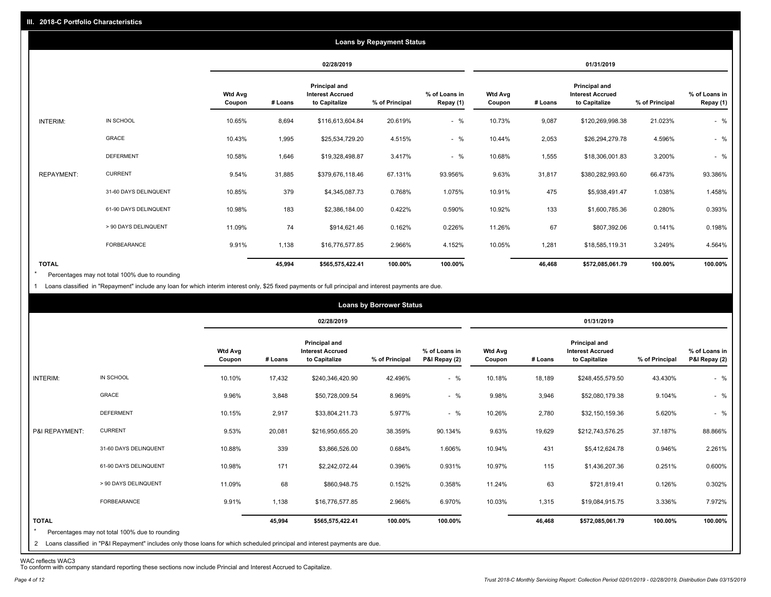|                   |                       |                          |         |                                                                  | <b>Loans by Repayment Status</b> |                            |                          |         |                                                           |                |                            |
|-------------------|-----------------------|--------------------------|---------|------------------------------------------------------------------|----------------------------------|----------------------------|--------------------------|---------|-----------------------------------------------------------|----------------|----------------------------|
|                   |                       |                          |         | 02/28/2019                                                       |                                  |                            |                          |         | 01/31/2019                                                |                |                            |
|                   |                       | <b>Wtd Avg</b><br>Coupon | # Loans | <b>Principal and</b><br><b>Interest Accrued</b><br>to Capitalize | % of Principal                   | % of Loans in<br>Repay (1) | <b>Wtd Avg</b><br>Coupon | # Loans | Principal and<br><b>Interest Accrued</b><br>to Capitalize | % of Principal | % of Loans in<br>Repay (1) |
| INTERIM:          | IN SCHOOL             | 10.65%                   | 8,694   | \$116,613,604.84                                                 | 20.619%                          | $-$ %                      | 10.73%                   | 9,087   | \$120,269,998.38                                          | 21.023%        | $-$ %                      |
|                   | <b>GRACE</b>          | 10.43%                   | 1,995   | \$25,534,729.20                                                  | 4.515%                           | $-$ %                      | 10.44%                   | 2,053   | \$26,294,279.78                                           | 4.596%         | $-$ %                      |
|                   | <b>DEFERMENT</b>      | 10.58%                   | 1,646   | \$19,328,498.87                                                  | 3.417%                           | $-$ %                      | 10.68%                   | 1,555   | \$18,306,001.83                                           | 3.200%         | $-$ %                      |
| <b>REPAYMENT:</b> | <b>CURRENT</b>        | 9.54%                    | 31,885  | \$379,676,118.46                                                 | 67.131%                          | 93.956%                    | 9.63%                    | 31,817  | \$380,282,993.60                                          | 66.473%        | 93.386%                    |
|                   | 31-60 DAYS DELINQUENT | 10.85%                   | 379     | \$4,345,087.73                                                   | 0.768%                           | 1.075%                     | 10.91%                   | 475     | \$5,938,491.47                                            | 1.038%         | 1.458%                     |
|                   | 61-90 DAYS DELINQUENT | 10.98%                   | 183     | \$2,386,184.00                                                   | 0.422%                           | 0.590%                     | 10.92%                   | 133     | \$1,600,785.36                                            | 0.280%         | 0.393%                     |
|                   | > 90 DAYS DELINQUENT  | 11.09%                   | 74      | \$914,621.46                                                     | 0.162%                           | 0.226%                     | 11.26%                   | 67      | \$807,392.06                                              | 0.141%         | 0.198%                     |
|                   | FORBEARANCE           | 9.91%                    | 1,138   | \$16,776,577.85                                                  | 2.966%                           | 4.152%                     | 10.05%                   | 1,281   | \$18,585,119.31                                           | 3.249%         | 4.564%                     |
| <b>TOTAL</b>      |                       |                          | 45,994  | \$565,575,422.41                                                 | 100.00%                          | 100.00%                    |                          | 46,468  | \$572,085,061.79                                          | 100.00%        | 100.00%                    |

Percentages may not total 100% due to rounding  $\star$ 

1 Loans classified in "Repayment" include any loan for which interim interest only, \$25 fixed payments or full principal and interest payments are due.

|                         |                                                                                                                                                                                |                          |         |                                                           | <b>Loans by Borrower Status</b> |                                |                          |         |                                                                  |                |                                |
|-------------------------|--------------------------------------------------------------------------------------------------------------------------------------------------------------------------------|--------------------------|---------|-----------------------------------------------------------|---------------------------------|--------------------------------|--------------------------|---------|------------------------------------------------------------------|----------------|--------------------------------|
|                         |                                                                                                                                                                                |                          |         | 02/28/2019                                                |                                 |                                |                          |         | 01/31/2019                                                       |                |                                |
|                         |                                                                                                                                                                                | <b>Wtd Avg</b><br>Coupon | # Loans | Principal and<br><b>Interest Accrued</b><br>to Capitalize | % of Principal                  | % of Loans in<br>P&I Repay (2) | <b>Wtd Avg</b><br>Coupon | # Loans | <b>Principal and</b><br><b>Interest Accrued</b><br>to Capitalize | % of Principal | % of Loans in<br>P&I Repay (2) |
| INTERIM:                | IN SCHOOL                                                                                                                                                                      | 10.10%                   | 17,432  | \$240,346,420.90                                          | 42.496%                         | $-$ %                          | 10.18%                   | 18,189  | \$248,455,579.50                                                 | 43.430%        | $-$ %                          |
|                         | GRACE                                                                                                                                                                          | 9.96%                    | 3,848   | \$50,728,009.54                                           | 8.969%                          | $-$ %                          | 9.98%                    | 3,946   | \$52,080,179.38                                                  | 9.104%         | $-$ %                          |
|                         | <b>DEFERMENT</b>                                                                                                                                                               | 10.15%                   | 2,917   | \$33,804,211.73                                           | 5.977%                          | $-$ %                          | 10.26%                   | 2,780   | \$32,150,159.36                                                  | 5.620%         | $-$ %                          |
| P&I REPAYMENT:          | <b>CURRENT</b>                                                                                                                                                                 | 9.53%                    | 20,081  | \$216,950,655.20                                          | 38.359%                         | 90.134%                        | 9.63%                    | 19,629  | \$212,743,576.25                                                 | 37.187%        | 88.866%                        |
|                         | 31-60 DAYS DELINQUENT                                                                                                                                                          | 10.88%                   | 339     | \$3,866,526.00                                            | 0.684%                          | 1.606%                         | 10.94%                   | 431     | \$5,412,624.78                                                   | 0.946%         | 2.261%                         |
|                         | 61-90 DAYS DELINQUENT                                                                                                                                                          | 10.98%                   | 171     | \$2,242,072.44                                            | 0.396%                          | 0.931%                         | 10.97%                   | 115     | \$1,436,207.36                                                   | 0.251%         | 0.600%                         |
|                         | > 90 DAYS DELINQUENT                                                                                                                                                           | 11.09%                   | 68      | \$860,948.75                                              | 0.152%                          | 0.358%                         | 11.24%                   | 63      | \$721,819.41                                                     | 0.126%         | 0.302%                         |
|                         | <b>FORBEARANCE</b>                                                                                                                                                             | 9.91%                    | 1,138   | \$16,776,577.85                                           | 2.966%                          | 6.970%                         | 10.03%                   | 1,315   | \$19,084,915.75                                                  | 3.336%         | 7.972%                         |
| <b>TOTAL</b><br>$\star$ | Percentages may not total 100% due to rounding<br>2 Loans classified in "P&I Repayment" includes only those loans for which scheduled principal and interest payments are due. |                          | 45,994  | \$565,575,422.41                                          | 100.00%                         | 100.00%                        |                          | 46,468  | \$572,085,061.79                                                 | 100.00%        | 100.00%                        |

WAC reflects WAC3 To conform with company standard reporting these sections now include Princial and Interest Accrued to Capitalize.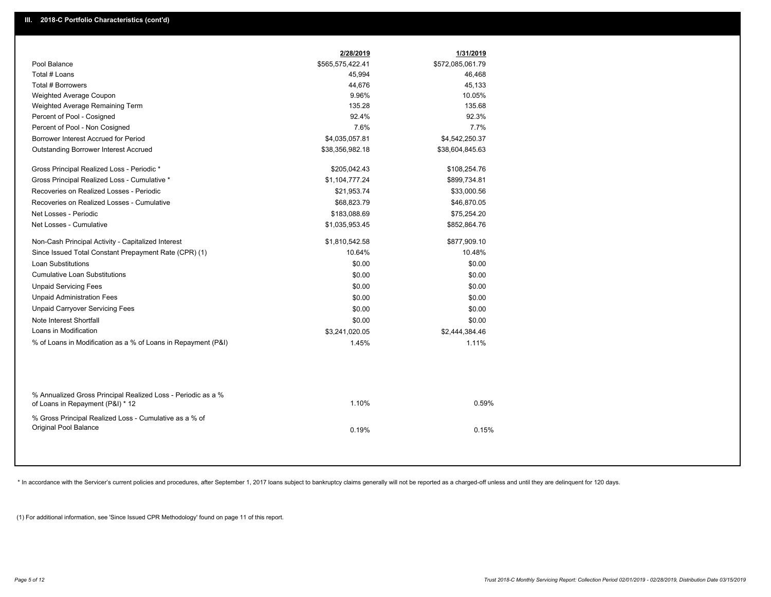|                                                               | 2/28/2019        | 1/31/2019        |
|---------------------------------------------------------------|------------------|------------------|
| Pool Balance                                                  | \$565,575,422.41 | \$572,085,061.79 |
| Total # Loans                                                 | 45,994           | 46,468           |
| <b>Total # Borrowers</b>                                      | 44,676           | 45,133           |
| Weighted Average Coupon                                       | 9.96%            | 10.05%           |
| Weighted Average Remaining Term                               | 135.28           | 135.68           |
| Percent of Pool - Cosigned                                    | 92.4%            | 92.3%            |
| Percent of Pool - Non Cosigned                                | 7.6%             | 7.7%             |
| Borrower Interest Accrued for Period                          | \$4,035,057.81   | \$4,542,250.37   |
| Outstanding Borrower Interest Accrued                         | \$38,356,982.18  | \$38,604,845.63  |
| Gross Principal Realized Loss - Periodic *                    | \$205,042.43     | \$108,254.76     |
| Gross Principal Realized Loss - Cumulative *                  | \$1,104,777.24   | \$899,734.81     |
| Recoveries on Realized Losses - Periodic                      | \$21,953.74      | \$33,000.56      |
| Recoveries on Realized Losses - Cumulative                    | \$68,823.79      | \$46,870.05      |
| Net Losses - Periodic                                         | \$183,088.69     | \$75,254.20      |
| Net Losses - Cumulative                                       | \$1,035,953.45   | \$852,864.76     |
| Non-Cash Principal Activity - Capitalized Interest            | \$1,810,542.58   | \$877,909.10     |
| Since Issued Total Constant Prepayment Rate (CPR) (1)         | 10.64%           | 10.48%           |
| <b>Loan Substitutions</b>                                     | \$0.00           | \$0.00           |
| <b>Cumulative Loan Substitutions</b>                          | \$0.00           | \$0.00           |
| <b>Unpaid Servicing Fees</b>                                  | \$0.00           | \$0.00           |
| <b>Unpaid Administration Fees</b>                             | \$0.00           | \$0.00           |
| <b>Unpaid Carryover Servicing Fees</b>                        | \$0.00           | \$0.00           |
| Note Interest Shortfall                                       | \$0.00           | \$0.00           |
| Loans in Modification                                         | \$3,241,020.05   | \$2,444,384.46   |
| % of Loans in Modification as a % of Loans in Repayment (P&I) | 1.45%            | 1.11%            |
|                                                               |                  |                  |
|                                                               |                  |                  |
|                                                               |                  |                  |
| % Annualized Gross Principal Realized Loss - Periodic as a %  |                  |                  |
| of Loans in Repayment (P&I) * 12                              | 1.10%            | 0.59%            |
| % Gross Principal Realized Loss - Cumulative as a % of        |                  |                  |
| Original Pool Balance                                         | 0.19%            | 0.15%            |
|                                                               |                  |                  |

\* In accordance with the Servicer's current policies and procedures, after September 1, 2017 loans subject to bankruptcy claims generally will not be reported as a charged-off unless and until they are delinquent for 120 d

(1) For additional information, see 'Since Issued CPR Methodology' found on page 11 of this report.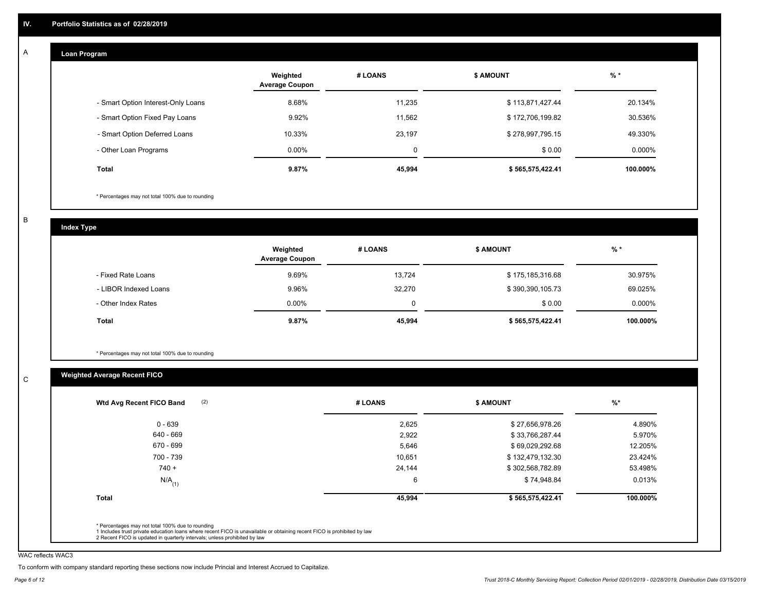#### **Loan Program**  A

|                                    | Weighted<br><b>Average Coupon</b> | # LOANS  | <b>\$ AMOUNT</b> | $%$ *    |
|------------------------------------|-----------------------------------|----------|------------------|----------|
| - Smart Option Interest-Only Loans | 8.68%                             | 11,235   | \$113,871,427.44 | 20.134%  |
| - Smart Option Fixed Pay Loans     | 9.92%                             | 11,562   | \$172,706,199.82 | 30.536%  |
| - Smart Option Deferred Loans      | 10.33%                            | 23.197   | \$278,997,795.15 | 49.330%  |
| - Other Loan Programs              | $0.00\%$                          | $\Omega$ | \$0.00           | 0.000%   |
| <b>Total</b>                       | 9.87%                             | 45,994   | \$565,575,422.41 | 100.000% |

\* Percentages may not total 100% due to rounding

B

C

**Index Type**

|                       | Weighted<br><b>Average Coupon</b> | # LOANS  | <b>\$ AMOUNT</b> | $%$ *     |
|-----------------------|-----------------------------------|----------|------------------|-----------|
| - Fixed Rate Loans    | 9.69%                             | 13,724   | \$175,185,316.68 | 30.975%   |
| - LIBOR Indexed Loans | 9.96%                             | 32,270   | \$390,390,105.73 | 69.025%   |
| - Other Index Rates   | $0.00\%$                          | $\Omega$ | \$0.00           | $0.000\%$ |
| Total                 | 9.87%                             | 45,994   | \$565,575,422.41 | 100.000%  |

\* Percentages may not total 100% due to rounding

### **Weighted Average Recent FICO**

| (2)<br>Wtd Avg Recent FICO Band                                                                                                                                             | # LOANS | \$ AMOUNT        | $\frac{9}{6}$ * |
|-----------------------------------------------------------------------------------------------------------------------------------------------------------------------------|---------|------------------|-----------------|
| $0 - 639$                                                                                                                                                                   | 2,625   | \$27,656,978.26  | 4.890%          |
| 640 - 669                                                                                                                                                                   | 2,922   | \$33,766,287.44  | 5.970%          |
| 670 - 699                                                                                                                                                                   | 5,646   | \$69,029,292.68  | 12.205%         |
| 700 - 739                                                                                                                                                                   | 10,651  | \$132,479,132.30 | 23.424%         |
| $740 +$                                                                                                                                                                     | 24,144  | \$302,568,782.89 | 53.498%         |
| $N/A$ <sub>(1)</sub>                                                                                                                                                        | 6       | \$74,948.84      | 0.013%          |
| <b>Total</b>                                                                                                                                                                | 45,994  | \$565,575,422.41 | 100.000%        |
| * Percentages may not total 100% due to rounding<br>1 Includes trust private education loans where recent FICO is unavailable or obtaining recent FICO is prohibited by law |         |                  |                 |

WAC reflects WAC3

To conform with company standard reporting these sections now include Princial and Interest Accrued to Capitalize.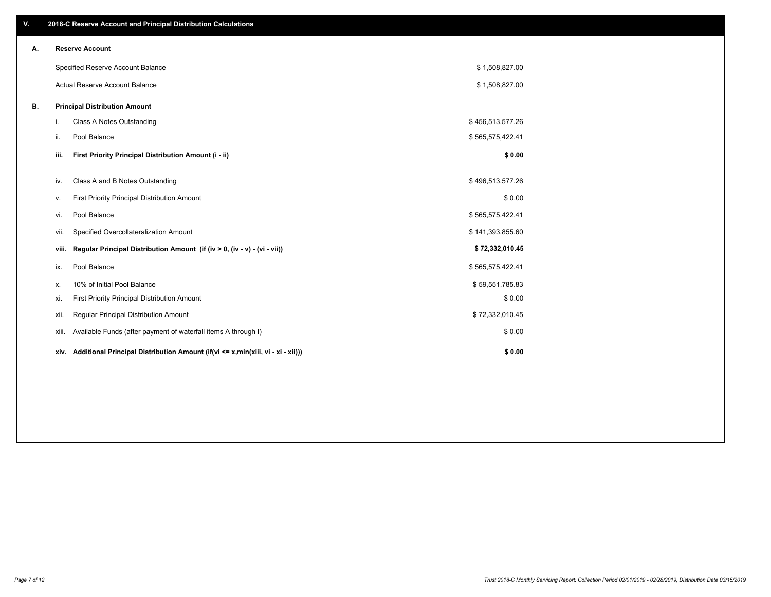| ٧. |       | 2018-C Reserve Account and Principal Distribution Calculations                         |                  |  |
|----|-------|----------------------------------------------------------------------------------------|------------------|--|
| А. |       | <b>Reserve Account</b>                                                                 |                  |  |
|    |       | Specified Reserve Account Balance                                                      | \$1,508,827.00   |  |
|    |       | Actual Reserve Account Balance                                                         | \$1,508,827.00   |  |
| В. |       | <b>Principal Distribution Amount</b>                                                   |                  |  |
|    | i.    | <b>Class A Notes Outstanding</b>                                                       | \$456,513,577.26 |  |
|    | ii.   | Pool Balance                                                                           | \$565,575,422.41 |  |
|    | iii.  | First Priority Principal Distribution Amount (i - ii)                                  | \$0.00           |  |
|    | iv.   | Class A and B Notes Outstanding                                                        | \$496,513,577.26 |  |
|    | v.    | First Priority Principal Distribution Amount                                           | \$0.00           |  |
|    | vi.   | Pool Balance                                                                           | \$565,575,422.41 |  |
|    | vii.  | Specified Overcollateralization Amount                                                 | \$141,393,855.60 |  |
|    | viii. | Regular Principal Distribution Amount (if (iv > 0, (iv - v) - (vi - vii))              | \$72,332,010.45  |  |
|    | ix.   | Pool Balance                                                                           | \$565,575,422.41 |  |
|    | х.    | 10% of Initial Pool Balance                                                            | \$59,551,785.83  |  |
|    | xi.   | First Priority Principal Distribution Amount                                           | \$0.00           |  |
|    | xii.  | Regular Principal Distribution Amount                                                  | \$72,332,010.45  |  |
|    | xiii. | Available Funds (after payment of waterfall items A through I)                         | \$0.00           |  |
|    |       | xiv. Additional Principal Distribution Amount (if (vi <= x, min(xiii, vi - xi - xii))) | \$0.00           |  |
|    |       |                                                                                        |                  |  |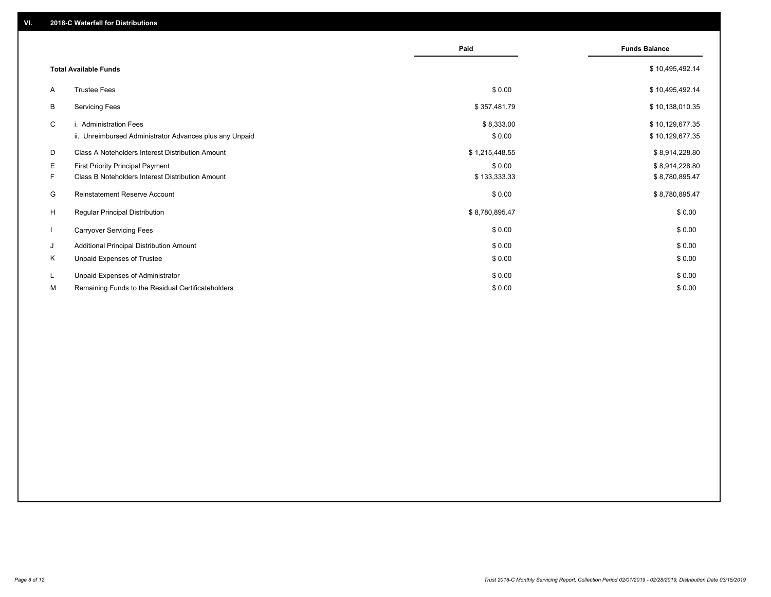|              |                                                                                   | Paid                 | <b>Funds Balance</b>               |
|--------------|-----------------------------------------------------------------------------------|----------------------|------------------------------------|
|              | <b>Total Available Funds</b>                                                      |                      | \$10,495,492.14                    |
| A            | <b>Trustee Fees</b>                                                               | \$0.00               | \$10,495,492.14                    |
| В            | <b>Servicing Fees</b>                                                             | \$357,481.79         | \$10,138,010.35                    |
| C            | i. Administration Fees<br>ii. Unreimbursed Administrator Advances plus any Unpaid | \$8,333.00<br>\$0.00 | \$10,129,677.35<br>\$10,129,677.35 |
| D            | Class A Noteholders Interest Distribution Amount                                  | \$1,215,448.55       | \$8,914,228.80                     |
| E.           | <b>First Priority Principal Payment</b>                                           | \$0.00               | \$8,914,228.80                     |
| F.           | Class B Noteholders Interest Distribution Amount                                  | \$133,333.33         | \$8,780,895.47                     |
| G            | <b>Reinstatement Reserve Account</b>                                              | \$0.00               | \$8,780,895.47                     |
| H            | <b>Regular Principal Distribution</b>                                             | \$8,780,895.47       | \$0.00                             |
| $\mathbf{I}$ | <b>Carryover Servicing Fees</b>                                                   | \$0.00               | \$0.00                             |
| J            | Additional Principal Distribution Amount                                          | \$0.00               | \$0.00                             |
| Κ            | Unpaid Expenses of Trustee                                                        | \$0.00               | \$0.00                             |
| L            | Unpaid Expenses of Administrator                                                  | \$0.00               | \$0.00                             |
| м            | Remaining Funds to the Residual Certificateholders                                | \$0.00               | \$0.00                             |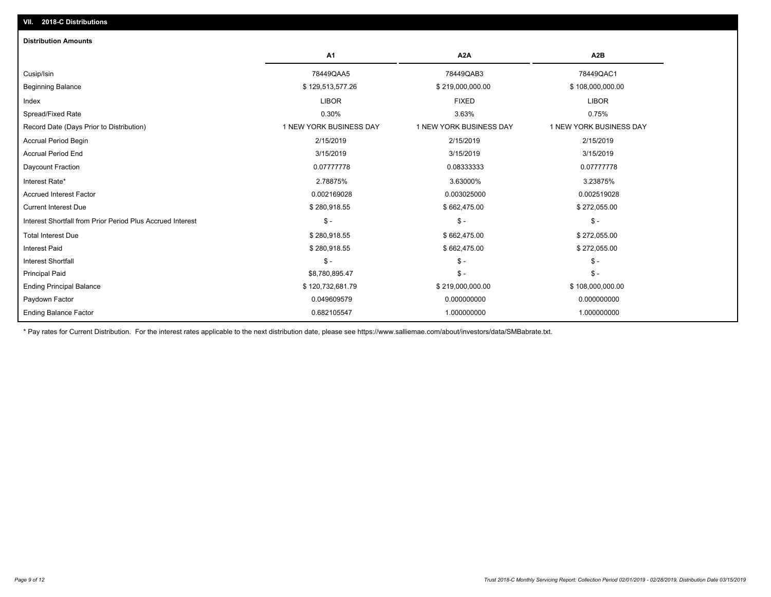| <b>Distribution Amounts</b>                                |                         |                         |                         |
|------------------------------------------------------------|-------------------------|-------------------------|-------------------------|
|                                                            | A <sub>1</sub>          | A2A                     | A <sub>2</sub> B        |
| Cusip/Isin                                                 | 78449QAA5               | 78449QAB3               | 78449QAC1               |
| <b>Beginning Balance</b>                                   | \$129,513,577.26        | \$219,000,000.00        | \$108,000,000.00        |
| Index                                                      | <b>LIBOR</b>            | <b>FIXED</b>            | <b>LIBOR</b>            |
| Spread/Fixed Rate                                          | 0.30%                   | 3.63%                   | 0.75%                   |
| Record Date (Days Prior to Distribution)                   | 1 NEW YORK BUSINESS DAY | 1 NEW YORK BUSINESS DAY | 1 NEW YORK BUSINESS DAY |
| <b>Accrual Period Begin</b>                                | 2/15/2019               | 2/15/2019               | 2/15/2019               |
| <b>Accrual Period End</b>                                  | 3/15/2019               | 3/15/2019               | 3/15/2019               |
| Daycount Fraction                                          | 0.07777778              | 0.08333333              | 0.07777778              |
| Interest Rate*                                             | 2.78875%                | 3.63000%                | 3.23875%                |
| <b>Accrued Interest Factor</b>                             | 0.002169028             | 0.003025000             | 0.002519028             |
| <b>Current Interest Due</b>                                | \$280,918.55            | \$662,475.00            | \$272,055.00            |
| Interest Shortfall from Prior Period Plus Accrued Interest | $$ -$                   | $\mathsf{\$}$ -         | $$ -$                   |
| <b>Total Interest Due</b>                                  | \$280,918.55            | \$662,475.00            | \$272,055.00            |
| <b>Interest Paid</b>                                       | \$280,918.55            | \$662,475.00            | \$272,055.00            |
| <b>Interest Shortfall</b>                                  | $$ -$                   | $\mathsf{\$}$ -         | $$ -$                   |
| <b>Principal Paid</b>                                      | \$8,780,895.47          | $\mathsf{\$}$ -         | $$ -$                   |
| <b>Ending Principal Balance</b>                            | \$120,732,681.79        | \$219,000,000.00        | \$108,000,000.00        |
| Paydown Factor                                             | 0.049609579             | 0.000000000             | 0.000000000             |
| <b>Ending Balance Factor</b>                               | 0.682105547             | 1.000000000             | 1.000000000             |

\* Pay rates for Current Distribution. For the interest rates applicable to the next distribution date, please see https://www.salliemae.com/about/investors/data/SMBabrate.txt.

**VII. 2018-C Distributions**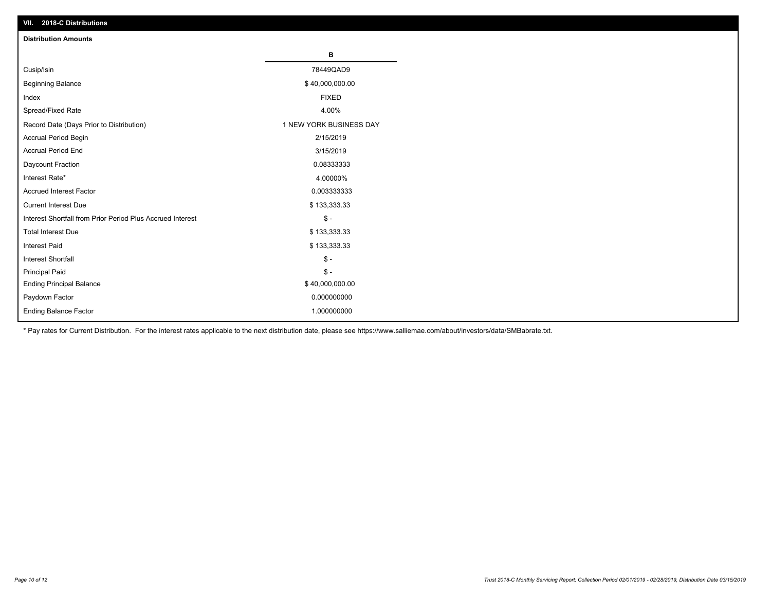| VII. 2018-C Distributions                                  |                         |
|------------------------------------------------------------|-------------------------|
| <b>Distribution Amounts</b>                                |                         |
|                                                            | в                       |
| Cusip/Isin                                                 | 78449QAD9               |
| <b>Beginning Balance</b>                                   | \$40,000,000.00         |
| Index                                                      | <b>FIXED</b>            |
| Spread/Fixed Rate                                          | 4.00%                   |
| Record Date (Days Prior to Distribution)                   | 1 NEW YORK BUSINESS DAY |
| Accrual Period Begin                                       | 2/15/2019               |
| <b>Accrual Period End</b>                                  | 3/15/2019               |
| Daycount Fraction                                          | 0.08333333              |
| Interest Rate*                                             | 4.00000%                |
| <b>Accrued Interest Factor</b>                             | 0.003333333             |
| <b>Current Interest Due</b>                                | \$133,333.33            |
| Interest Shortfall from Prior Period Plus Accrued Interest | $$ -$                   |
| <b>Total Interest Due</b>                                  | \$133,333.33            |
| Interest Paid                                              | \$133,333.33            |
| Interest Shortfall                                         | $$ -$                   |
| <b>Principal Paid</b>                                      | $$ -$                   |
| <b>Ending Principal Balance</b>                            | \$40,000,000.00         |
| Paydown Factor                                             | 0.000000000             |
| <b>Ending Balance Factor</b>                               | 1.000000000             |

\* Pay rates for Current Distribution. For the interest rates applicable to the next distribution date, please see https://www.salliemae.com/about/investors/data/SMBabrate.txt.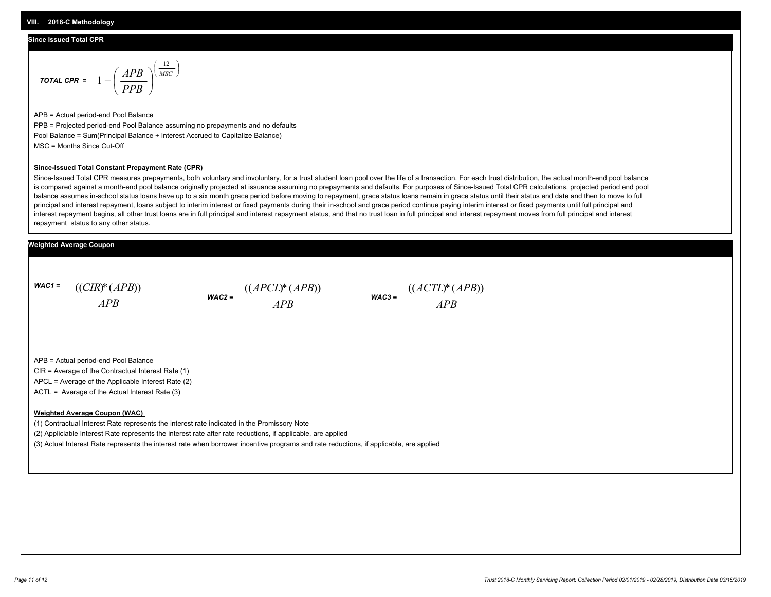#### **Since Issued Total CPR**

$$
\text{total CPR} = 1 - \left(\frac{APB}{PPB}\right)^{\left(\frac{12}{MSC}\right)}
$$

APB = Actual period-end Pool Balance PPB = Projected period-end Pool Balance assuming no prepayments and no defaults Pool Balance = Sum(Principal Balance + Interest Accrued to Capitalize Balance) MSC = Months Since Cut-Off

#### **Since-Issued Total Constant Prepayment Rate (CPR)**

Since-Issued Total CPR measures prepayments, both voluntary and involuntary, for a trust student loan pool over the life of a transaction. For each trust distribution, the actual month-end pool balance is compared against a month-end pool balance originally projected at issuance assuming no prepayments and defaults. For purposes of Since-Issued Total CPR calculations, projected period end pool balance assumes in-school status loans have up to a six month grace period before moving to repayment, grace status loans remain in grace status until their status end date and then to move to full principal and interest repayment, loans subject to interim interest or fixed payments during their in-school and grace period continue paying interim interest or fixed payments until full principal and interest repayment begins, all other trust loans are in full principal and interest repayment status, and that no trust loan in full principal and interest repayment moves from full principal and interest repayment status to any other status.

#### **Weighted Average Coupon**

*WAC1 = APB* ((*CIR*)\*(*APB*))

*WAC2 = APB*



APB = Actual period-end Pool Balance

CIR = Average of the Contractual Interest Rate (1)

APCL = Average of the Applicable Interest Rate (2)

ACTL = Average of the Actual Interest Rate (3)

#### **Weighted Average Coupon (WAC)**

(1) Contractual Interest Rate represents the interest rate indicated in the Promissory Note

(2) Appliclable Interest Rate represents the interest rate after rate reductions, if applicable, are applied

(3) Actual Interest Rate represents the interest rate when borrower incentive programs and rate reductions, if applicable, are applied